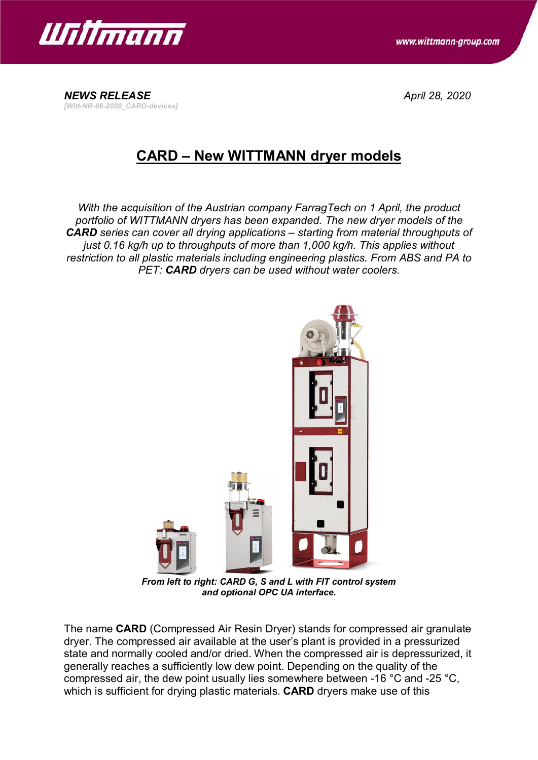

*[Witt-NR-06-2020\_CARD-devices]*

*NEWS RELEASE April 28, 2020*

## **CARD – New WITTMANN dryer models**

*With the acquisition of the Austrian company FarragTech on 1 April, the product portfolio of WITTMANN dryers has been expanded. The new dryer models of the CARD series can cover all drying applications – starting from material throughputs of just 0.16 kg/h up to throughputs of more than 1,000 kg/h. This applies without restriction to all plastic materials including engineering plastics. From ABS and PA to PET: CARD dryers can be used without water coolers.*



*From left to right: CARD G, S and L with FIT control system and optional OPC UA interface.*

The name **CARD** (Compressed Air Resin Dryer) stands for compressed air granulate dryer. The compressed air available at the user's plant is provided in a pressurized state and normally cooled and/or dried. When the compressed air is depressurized, it generally reaches a sufficiently low dew point. Depending on the quality of the compressed air, the dew point usually lies somewhere between -16 °C and -25 °C, which is sufficient for drying plastic materials. **CARD** dryers make use of this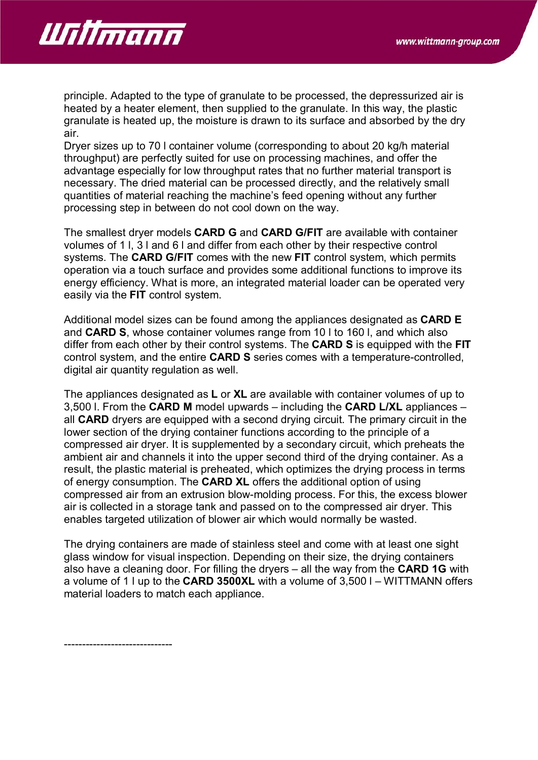

principle. Adapted to the type of granulate to be processed, the depressurized air is heated by a heater element, then supplied to the granulate. In this way, the plastic granulate is heated up, the moisture is drawn to its surface and absorbed by the dry air.

Dryer sizes up to 70 l container volume (corresponding to about 20 kg/h material throughput) are perfectly suited for use on processing machines, and offer the advantage especially for low throughput rates that no further material transport is necessary. The dried material can be processed directly, and the relatively small quantities of material reaching the machine's feed opening without any further processing step in between do not cool down on the way.

The smallest dryer models **CARD G** and **CARD G/FIT** are available with container volumes of 1 l, 3 l and 6 l and differ from each other by their respective control systems. The **CARD G/FIT** comes with the new **FIT** control system, which permits operation via a touch surface and provides some additional functions to improve its energy efficiency. What is more, an integrated material loader can be operated very easily via the **FIT** control system.

Additional model sizes can be found among the appliances designated as **CARD E** and **CARD S**, whose container volumes range from 10 l to 160 l, and which also differ from each other by their control systems. The **CARD S** is equipped with the **FIT** control system, and the entire **CARD S** series comes with a temperature-controlled, digital air quantity regulation as well.

The appliances designated as **L** or **XL** are available with container volumes of up to 3,500 l. From the **CARD M** model upwards – including the **CARD L/XL** appliances – all **CARD** dryers are equipped with a second drying circuit. The primary circuit in the lower section of the drying container functions according to the principle of a compressed air dryer. It is supplemented by a secondary circuit, which preheats the ambient air and channels it into the upper second third of the drying container. As a result, the plastic material is preheated, which optimizes the drying process in terms of energy consumption. The **CARD XL** offers the additional option of using compressed air from an extrusion blow-molding process. For this, the excess blower air is collected in a storage tank and passed on to the compressed air dryer. This enables targeted utilization of blower air which would normally be wasted.

The drying containers are made of stainless steel and come with at least one sight glass window for visual inspection. Depending on their size, the drying containers also have a cleaning door. For filling the dryers – all the way from the **CARD 1G** with a volume of 1 l up to the **CARD 3500XL** with a volume of 3,500 l – WITTMANN offers material loaders to match each appliance.

------------------------------